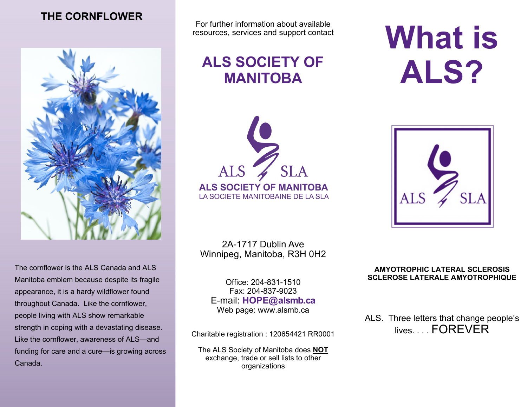# **THE CORNFLOWER**



The cornflower is the ALS Canada and ALS Manitoba emblem because despite its fragile appearance, it is a hardy wildflower found throughout Canada. Like the cornflower, people living with ALS show remarkable strength in coping with a devastating disease. Like the cornflower, awareness of ALS—and funding for care and a cure—is growing across Canada.

For further information about available resources, services and support contact

# **ALS SOCIETY OF MANITOBA**



2A-1717 Dublin Ave Winnipeg, Manitoba, R3H 0H2

Office: 204-831-1510 Fax: 204-837-9023 E-mail: **HOPE@alsmb.ca** Web page: www.alsmb.ca

Charitable registration : 120654421 RR0001

The ALS Society of Manitoba does **NOT**  exchange, trade or sell lists to other organizations

# **What is ALS?**



#### **AMYOTROPHIC LATERAL SCLEROSIS SCLEROSE LATERALE AMYOTROPHIQUE**

ALS. Three letters that change people's lives **FOREVER**